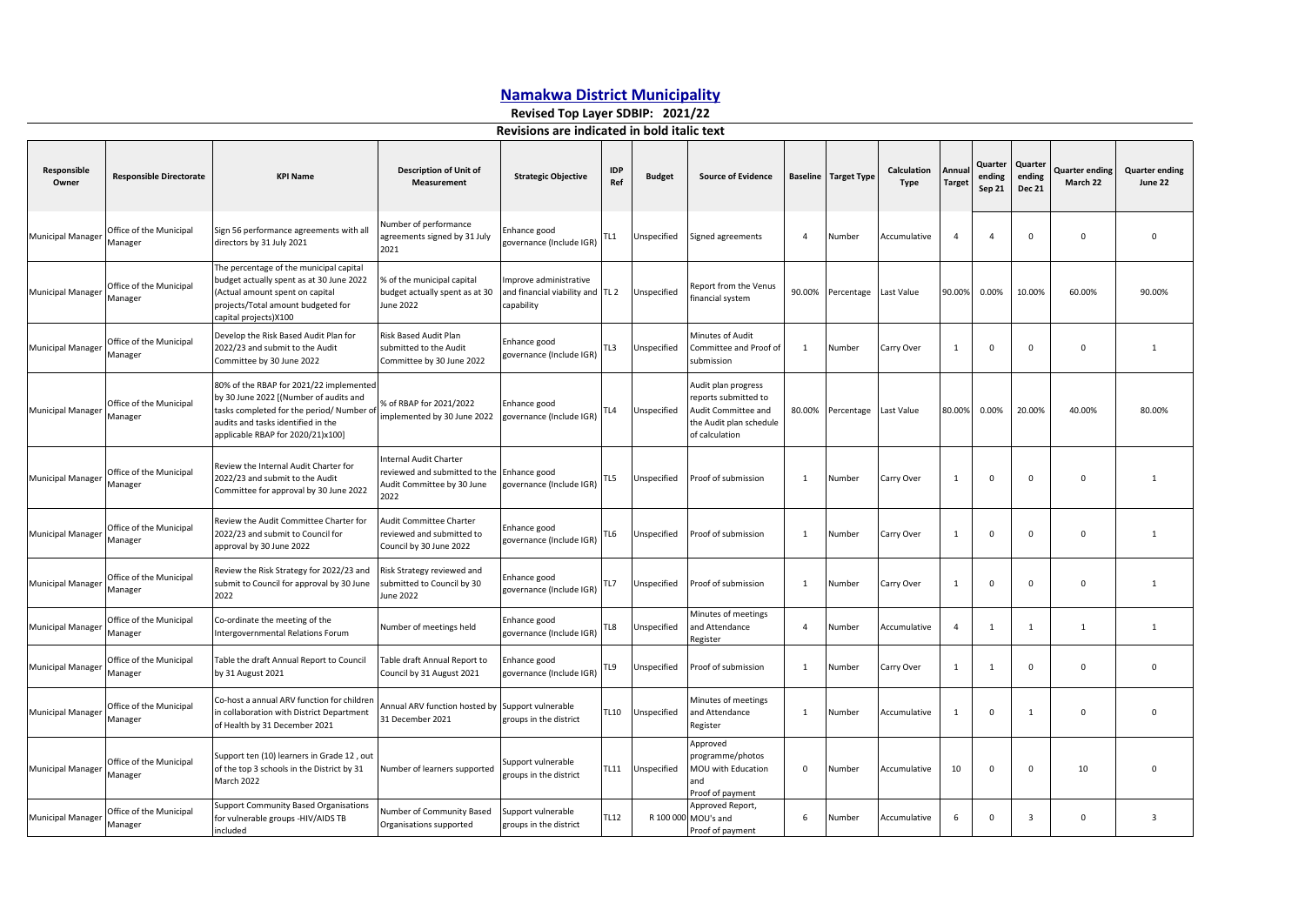## **Namakwa District Municipality**

**Revised Top Layer SDBIP: 2021/22**

## **Revisions are indicated in bold italic text**

| Responsible<br>Owner     | <b>Responsible Directorate</b>     | <b>KPI Name</b>                                                                                                                                                                                           | <b>Description of Unit of</b><br><b>Measurement</b>                                           | <b>Strategic Objective</b>                                               | <b>IDP</b><br>Ref | <b>Budget</b> | <b>Source of Evidence</b>                                                                                       |                | <b>Baseline</b> Target Type | Calculation<br>Type | Annua<br><b>Target</b> | Quarter<br>ending<br>Sep 21 | Quarter<br>ending<br><b>Dec 21</b> | Quarter ending<br>March 22 | <b>Quarter ending</b><br>June 22 |
|--------------------------|------------------------------------|-----------------------------------------------------------------------------------------------------------------------------------------------------------------------------------------------------------|-----------------------------------------------------------------------------------------------|--------------------------------------------------------------------------|-------------------|---------------|-----------------------------------------------------------------------------------------------------------------|----------------|-----------------------------|---------------------|------------------------|-----------------------------|------------------------------------|----------------------------|----------------------------------|
| <b>Municipal Manager</b> | Office of the Municipal<br>Manager | Sign 56 performance agreements with all<br>directors by 31 July 2021                                                                                                                                      | Number of performance<br>agreements signed by 31 July<br>2021                                 | Enhance good<br>governance (Include IGR)                                 | TL1               | Unspecified   | Signed agreements                                                                                               | $\overline{4}$ | Number                      | Accumulative        | $\overline{4}$         | $\Delta$                    | $\mathbf 0$                        | $\Omega$                   | $\mathbf 0$                      |
| Municipal Manager        | Office of the Municipal<br>Manager | The percentage of the municipal capital<br>budget actually spent as at 30 June 2022<br>(Actual amount spent on capital<br>projects/Total amount budgeted for<br>capital projects) X100                    | % of the municipal capital<br>budget actually spent as at 30<br>June 2022                     | Improve administrative<br>and financial viability and TL 2<br>capability |                   | Unspecified   | Report from the Venus<br>financial system                                                                       | 90.00%         | Percentage                  | Last Value          | 90.00%                 | 0.00%                       | 10.00%                             | 60.00%                     | 90.00%                           |
| <b>Municipal Manager</b> | Office of the Municipal<br>Manager | Develop the Risk Based Audit Plan for<br>2022/23 and submit to the Audit<br>Committee by 30 June 2022                                                                                                     | Risk Based Audit Plan<br>submitted to the Audit<br>Committee by 30 June 2022                  | Enhance good<br>governance (Include IGR)                                 | TL3               | Unspecified   | Minutes of Audit<br>Committee and Proof of<br>submission                                                        | 1              | Number                      | Carry Over          | $\overline{1}$         | $\Omega$                    | $\overline{0}$                     | $\Omega$                   | 1                                |
| Municipal Manager        | Office of the Municipal<br>Manager | 80% of the RBAP for 2021/22 implemented<br>by 30 June 2022 [(Number of audits and<br>tasks completed for the period/ Number of<br>audits and tasks identified in the<br>applicable RBAP for 2020/21)x100] | % of RBAP for 2021/2022<br>implemented by 30 June 2022                                        | Enhance good<br>governance (Include IGR)                                 | TL4               | Unspecified   | Audit plan progress<br>reports submitted to<br>Audit Committee and<br>the Audit plan schedule<br>of calculation | 80.00%         | Percentage                  | Last Value          | 80.00%                 | 0.00%                       | 20.00%                             | 40.00%                     | 80.00%                           |
| Municipal Manager        | Office of the Municipal<br>Manager | Review the Internal Audit Charter for<br>2022/23 and submit to the Audit<br>Committee for approval by 30 June 2022                                                                                        | Internal Audit Charter<br>reviewed and submitted to the<br>Audit Committee by 30 June<br>2022 | Enhance good<br>governance (Include IGR)                                 | TL5               | Unspecified   | Proof of submission                                                                                             | - 1            | Number                      | Carry Over          | 1                      | $\Omega$                    | $\mathbf 0$                        | $\Omega$                   | 1                                |
| <b>Municipal Manager</b> | Office of the Municipal<br>Manager | Review the Audit Committee Charter for<br>2022/23 and submit to Council for<br>approval by 30 June 2022                                                                                                   | Audit Committee Charter<br>reviewed and submitted to<br>Council by 30 June 2022               | Enhance good<br>governance (Include IGR)                                 | TL6               | Unspecified   | Proof of submission                                                                                             | - 1            | Number                      | Carry Over          | 1                      | $\Omega$                    | $\overline{0}$                     | $\Omega$                   | 1                                |
| Municipal Manager        | Office of the Municipal<br>Manager | Review the Risk Strategy for 2022/23 and<br>submit to Council for approval by 30 June<br>2022                                                                                                             | Risk Strategy reviewed and<br>submitted to Council by 30<br>June 2022                         | Enhance good<br>governance (Include IGR)                                 | TL7               | Unspecified   | Proof of submission                                                                                             | 1              | Number                      | Carry Over          | 1                      | $\mathbf 0$                 | $\mathsf 0$                        | $\Omega$                   | $\mathbf{1}$                     |
| <b>Municipal Manage</b>  | Office of the Municipal<br>Manager | Co-ordinate the meeting of the<br>Intergovernmental Relations Forum                                                                                                                                       | Number of meetings held                                                                       | Enhance good<br>governance (Include IGR)                                 | TL8               | Unspecified   | Minutes of meetings<br>and Attendance<br>Register                                                               | $\overline{a}$ | Number                      | Accumulative        | $\overline{4}$         | $\overline{1}$              | 1                                  | $\mathbf{1}$               | 1                                |
| <b>Municipal Manager</b> | Office of the Municipal<br>Manager | Table the draft Annual Report to Council<br>by 31 August 2021                                                                                                                                             | Table draft Annual Report to<br>Council by 31 August 2021                                     | Enhance good<br>governance (Include IGR)                                 | TL9               | Unspecified   | Proof of submission                                                                                             | 1              | Number                      | Carry Over          | 1                      | $\overline{1}$              | $\mathbf 0$                        | $\Omega$                   | $\mathbf{0}$                     |
| <b>Municipal Manager</b> | Office of the Municipal<br>Manager | Co-host a annual ARV function for children<br>in collaboration with District Department<br>of Health by 31 December 2021                                                                                  | Annual ARV function hosted by<br>31 December 2021                                             | Support vulnerable<br>groups in the district                             | <b>TL10</b>       | Unspecified   | Minutes of meetings<br>and Attendance<br>Register                                                               | 1              | Number                      | Accumulative        | 1                      | $\mathbf 0$                 | $\mathbf{1}$                       | $\Omega$                   | $\mathbf 0$                      |
| Municipal Manager        | Office of the Municipal<br>Manager | Support ten (10) learners in Grade 12, out<br>of the top 3 schools in the District by 31<br>March 2022                                                                                                    | Number of learners supported                                                                  | Support vulnerable<br>groups in the district                             | TL11              | Unspecified   | Approved<br>programme/photos<br>MOU with Education<br>and<br>Proof of payment                                   | $\mathbf 0$    | Number                      | Accumulative        | 10                     | $\mathbf 0$                 | $\mathbf 0$                        | 10                         | $\mathbf 0$                      |
| <b>Municipal Manager</b> | Office of the Municipal<br>Manager | <b>Support Community Based Organisations</b><br>for vulnerable groups -HIV/AIDS TB<br>included                                                                                                            | Number of Community Based<br>Organisations supported                                          | Support vulnerable<br>groups in the district                             | <b>TL12</b>       |               | Approved Report,<br>R 100 000 MOU's and<br>Proof of payment                                                     | 6              | Number                      | Accumulative        | 6                      | $\mathbf{0}$                | $\overline{\mathbf{3}}$            | $\Omega$                   | $\overline{3}$                   |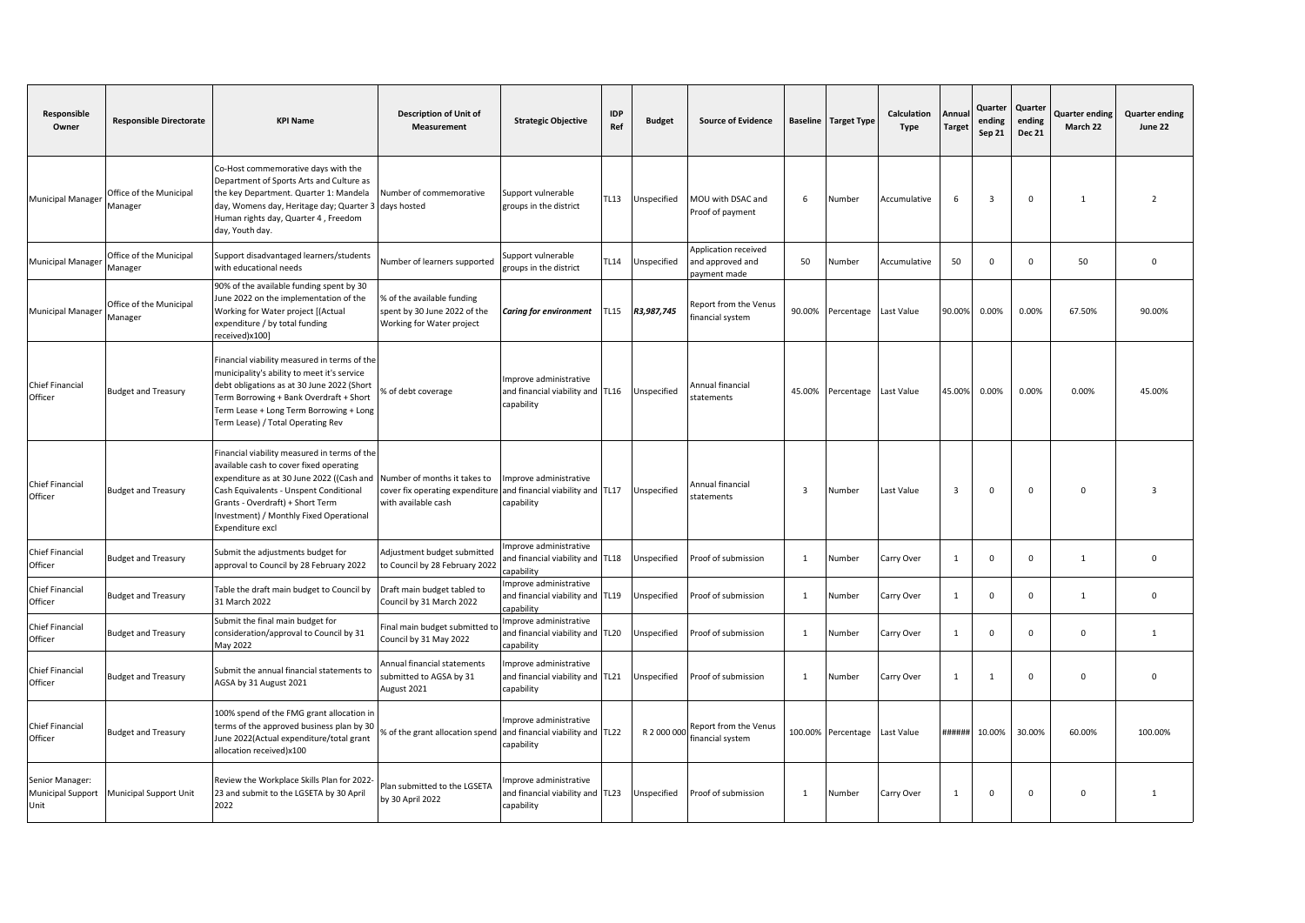| Responsible<br>Owner                         | <b>Responsible Directorate</b>     | <b>KPI Name</b>                                                                                                                                                                                                                                                                   | <b>Description of Unit of</b><br>Measurement                                            | <b>Strategic Objective</b>                                               | <b>IDP</b><br>Ref | <b>Budget</b> | <b>Source of Evidence</b>                                |                         | <b>Baseline</b> Target Type | <b>Calculation</b><br>Type | Annua<br><b>Target</b> | Quarter<br>ending<br>Sep 21 | Quarter<br>ending<br><b>Dec 21</b> | Quarter ending<br>March 22 | <b>Quarter ending</b><br>June 22 |
|----------------------------------------------|------------------------------------|-----------------------------------------------------------------------------------------------------------------------------------------------------------------------------------------------------------------------------------------------------------------------------------|-----------------------------------------------------------------------------------------|--------------------------------------------------------------------------|-------------------|---------------|----------------------------------------------------------|-------------------------|-----------------------------|----------------------------|------------------------|-----------------------------|------------------------------------|----------------------------|----------------------------------|
| Municipal Manager                            | Office of the Municipal<br>Manager | Co-Host commemorative days with the<br>Department of Sports Arts and Culture as<br>the key Department. Quarter 1: Mandela<br>day, Womens day, Heritage day; Quarter 3<br>Human rights day, Quarter 4, Freedom<br>day, Youth day.                                                  | Number of commemorative<br>days hosted                                                  | Support vulnerable<br>groups in the district                             | TL13              | Unspecified   | MOU with DSAC and<br>Proof of payment                    | 6                       | Number                      | Accumulative               | 6                      | $\overline{3}$              | $\mathbf 0$                        | $\overline{1}$             | $\overline{\phantom{a}}$         |
| Municipal Manager                            | Office of the Municipal<br>Manager | Support disadvantaged learners/students<br>with educational needs                                                                                                                                                                                                                 | Number of learners supported                                                            | Support vulnerable<br>groups in the district                             | <b>TL14</b>       | Unspecified   | Application received<br>and approved and<br>payment made | 50                      | Number                      | Accumulative               | 50                     | $\Omega$                    | $\mathbf{0}$                       | 50                         | $\mathsf 0$                      |
| Municipal Manager                            | Office of the Municipal<br>Manager | 90% of the available funding spent by 30<br>June 2022 on the implementation of the<br>Working for Water project [(Actual<br>expenditure / by total funding<br>received)x100]                                                                                                      | % of the available funding<br>spent by 30 June 2022 of the<br>Working for Water project | <b>Caring for environment</b>                                            | <b>TL15</b>       | R3,987,745    | Report from the Venus<br>inancial system                 | 90.00%                  | Percentage                  | Last Value                 | 90.00%                 | 0.00%                       | 0.00%                              | 67.50%                     | 90.00%                           |
| Chief Financial<br>Officer                   | <b>Budget and Treasury</b>         | Financial viability measured in terms of the<br>municipality's ability to meet it's service<br>debt obligations as at 30 June 2022 (Short<br>Term Borrowing + Bank Overdraft + Short<br>Term Lease + Long Term Borrowing + Long<br>Term Lease) / Total Operating Rev              | % of debt coverage                                                                      | Improve administrative<br>and financial viability and TL16<br>capability |                   | Unspecified   | Annual financial<br>statements                           | 45.00%                  | Percentage                  | Last Value                 | 45.00%                 | 0.00%                       | 0.00%                              | 0.00%                      | 45.00%                           |
| Chief Financial<br>Officer                   | <b>Budget and Treasury</b>         | Financial viability measured in terms of the<br>available cash to cover fixed operating<br>expenditure as at 30 June 2022 ((Cash and<br>Cash Equivalents - Unspent Conditional<br>Grants - Overdraft) + Short Term<br>Investment) / Monthly Fixed Operational<br>Expenditure excl | Number of months it takes to<br>cover fix operating expenditure<br>with available cash  | Improve administrative<br>and financial viability and TL17<br>capability |                   | Unspecified   | Annual financial<br>statements                           | $\overline{\mathbf{3}}$ | Number                      | Last Value                 | $\overline{3}$         | $\mathbf 0$                 | $\mathsf 0$                        | $\Omega$                   | $\overline{a}$                   |
| Chief Financial<br>Officer                   | <b>Budget and Treasury</b>         | Submit the adjustments budget for<br>approval to Council by 28 February 2022                                                                                                                                                                                                      | Adjustment budget submitted<br>to Council by 28 February 2022                           | mprove administrative<br>and financial viability and TL18<br>capability  |                   | Jnspecified   | Proof of submission                                      | 1                       | Number                      | Carry Over                 | $\mathbf{1}$           | $\Omega$                    | $\mathbf 0$                        | $\mathbf{1}$               | $\mathbf 0$                      |
| Chief Financial<br>Officer                   | <b>Budget and Treasury</b>         | Table the draft main budget to Council by<br>31 March 2022                                                                                                                                                                                                                        | Draft main budget tabled to<br>Council by 31 March 2022                                 | mprove administrative<br>and financial viability and TL19<br>capability  |                   | Unspecified   | Proof of submission                                      | $\mathbf{1}$            | Number                      | Carry Over                 | 1                      | $\Omega$                    | $\mathbf{0}$                       | $\mathbf{1}$               | $\mathbf{0}$                     |
| Chief Financial<br>Officer                   | <b>Budget and Treasury</b>         | Submit the final main budget for<br>consideration/approval to Council by 31<br>May 2022                                                                                                                                                                                           | Final main budget submitted t<br>Council by 31 May 2022                                 | mprove administrative<br>and financial viability and TL20<br>capability  |                   | Unspecified   | Proof of submission                                      | 1                       | Number                      | Carry Over                 | $\mathbf{1}$           | $\Omega$                    | $\mathbf{0}$                       | $\Omega$                   | $\mathbf{1}$                     |
| Chief Financial<br>Officer                   | <b>Budget and Treasury</b>         | Submit the annual financial statements to<br>AGSA by 31 August 2021                                                                                                                                                                                                               | Annual financial statements<br>submitted to AGSA by 31<br>August 2021                   | Improve administrative<br>and financial viability and TL21<br>capability |                   | Jnspecified   | Proof of submission                                      | 1                       | Number                      | Carry Over                 | 1                      | -1                          | $\mathbf{0}$                       | $\Omega$                   | $\mathbf{0}$                     |
| Chief Financial<br>Officer                   | <b>Budget and Treasury</b>         | 100% spend of the FMG grant allocation in<br>terms of the approved business plan by 30<br>June 2022(Actual expenditure/total grant<br>allocation received)x100                                                                                                                    | 6 of the grant allocation spend and financial viability and TL22                        | Improve administrative<br>capability                                     |                   | R 2 000 000   | Report from the Venus<br>financial system                | 100.00%                 | Percentage                  | Last Value                 | ######                 | 10.00%                      | 30.00%                             | 60.00%                     | 100.00%                          |
| Senior Manager:<br>Municipal Support<br>Unit | Municipal Support Unit             | Review the Workplace Skills Plan for 2022-<br>23 and submit to the LGSETA by 30 April<br>2022                                                                                                                                                                                     | Plan submitted to the LGSETA<br>by 30 April 2022                                        | mprove administrative<br>and financial viability and TL23<br>capability  |                   | Jnspecified   | Proof of submission                                      | 1                       | Number                      | Carry Over                 | 1                      | $\Omega$                    | $\mathbf 0$                        | $\mathbf 0$                | 1                                |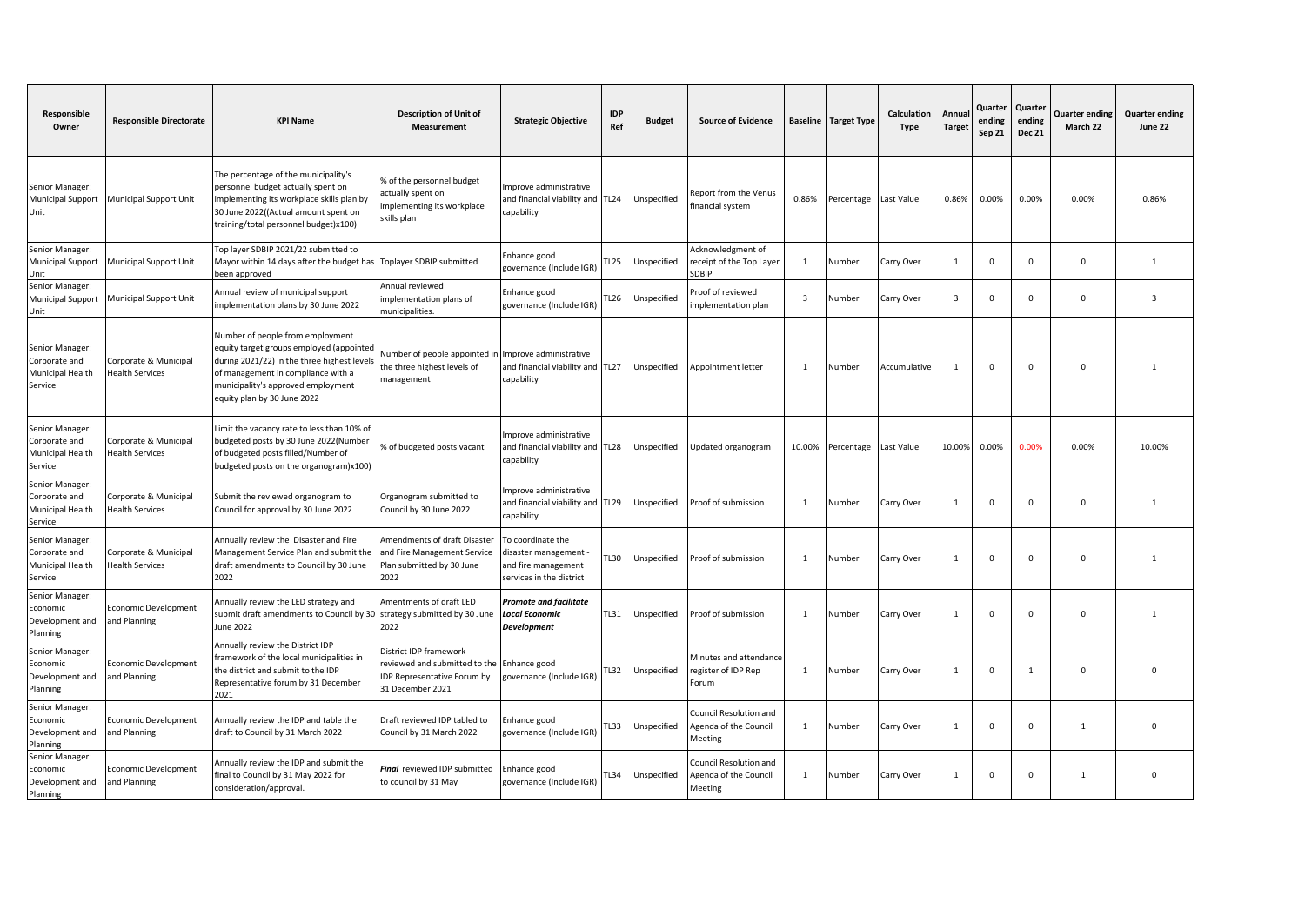| Responsible<br>Owner                                            | <b>Responsible Directorate</b>                  | <b>KPI Name</b>                                                                                                                                                                                                                        | <b>Description of Unit of</b><br>Measurement                                                               | <b>Strategic Objective</b>                                                                  | <b>IDP</b><br>Ref | <b>Budget</b> | <b>Source of Evidence</b>                                  |                         | <b>Baseline</b> Target Type | <b>Calculation</b><br>Type | Annua<br><b>Target</b>  | Quarter<br>ending<br>Sep 21 | Quarter<br>ending<br><b>Dec 21</b> | <b>Quarter ending</b><br>March 22 | <b>Quarter ending</b><br>June 22 |
|-----------------------------------------------------------------|-------------------------------------------------|----------------------------------------------------------------------------------------------------------------------------------------------------------------------------------------------------------------------------------------|------------------------------------------------------------------------------------------------------------|---------------------------------------------------------------------------------------------|-------------------|---------------|------------------------------------------------------------|-------------------------|-----------------------------|----------------------------|-------------------------|-----------------------------|------------------------------------|-----------------------------------|----------------------------------|
| Senior Manager:<br><b>Municipal Support</b><br>Unit             | Municipal Support Unit                          | The percentage of the municipality's<br>personnel budget actually spent on<br>implementing its workplace skills plan by<br>30 June 2022((Actual amount spent on<br>training/total personnel budget)x100)                               | % of the personnel budget<br>actually spent on<br>implementing its workplace<br>skills plan                | mprove administrative<br>and financial viability and TL24<br>capability                     |                   | Unspecified   | Report from the Venus<br>financial system                  | 0.86%                   | Percentage                  | Last Value                 | 0.86%                   | 0.00%                       | 0.00%                              | 0.00%                             | 0.86%                            |
| Senior Manager:<br>Municipal Support<br>Unit                    | <b>Municipal Support Unit</b>                   | Top layer SDBIP 2021/22 submitted to<br>Mayor within 14 days after the budget has<br>been approved                                                                                                                                     | Toplayer SDBIP submitted                                                                                   | Enhance good<br>governance (Include IGR)                                                    | TL25              | Jnspecified   | Acknowledgment of<br>receipt of the Top Layer<br>SDBIP     | 1                       | Number                      | Carry Over                 | 1                       | $\mathbf 0$                 | $\mathbf 0$                        | $\Omega$                          | 1                                |
| Senior Manager:<br><b>Municipal Support</b><br>Unit             | Municipal Support Unit                          | Annual review of municipal support<br>implementation plans by 30 June 2022                                                                                                                                                             | Annual reviewed<br>implementation plans of<br>municipalities.                                              | Enhance good<br>governance (Include IGR)                                                    | TL <sub>26</sub>  | Unspecified   | Proof of reviewed<br>implementation plan                   | $\overline{\mathbf{3}}$ | Number                      | Carry Over                 | $\overline{\mathbf{3}}$ | $\Omega$                    | $\mathsf 0$                        | $\Omega$                          | $\mathbf{3}$                     |
| Senior Manager:<br>Corporate and<br>Municipal Health<br>Service | Corporate & Municipal<br><b>Health Services</b> | Number of people from employment<br>equity target groups employed (appointed<br>during 2021/22) in the three highest levels<br>of management in compliance with a<br>municipality's approved employment<br>equity plan by 30 June 2022 | Number of people appointed i<br>the three highest levels of<br>management                                  | Improve administrative<br>and financial viability and TL27<br>capability                    |                   | Unspecified   | Appointment letter                                         | 1                       | Number                      | Accumulative               | 1                       | $\Omega$                    | $\mathbf 0$                        | $\Omega$                          |                                  |
| Senior Manager:<br>Corporate and<br>Municipal Health<br>Service | Corporate & Municipal<br><b>Health Services</b> | Limit the vacancy rate to less than 10% of<br>budgeted posts by 30 June 2022(Number<br>of budgeted posts filled/Number of<br>budgeted posts on the organogram)x100)                                                                    | % of budgeted posts vacant                                                                                 | Improve administrative<br>and financial viability and TL28<br>capability                    |                   | Unspecified   | Updated organogram                                         | 10.00%                  | Percentage                  | Last Value                 | 10.00%                  | 0.00%                       | 0.00%                              | 0.00%                             | 10.00%                           |
| Senior Manager:<br>Corporate and<br>Municipal Health<br>Service | Corporate & Municipal<br><b>Health Services</b> | Submit the reviewed organogram to<br>Council for approval by 30 June 2022                                                                                                                                                              | Organogram submitted to<br>Council by 30 June 2022                                                         | mprove administrative<br>and financial viability and TL29<br>capability                     |                   | Unspecified   | Proof of submission                                        | 1                       | Number                      | Carry Over                 | 1                       | $\mathbf 0$                 | $\mathsf 0$                        | $\Omega$                          | 1                                |
| Senior Manager:<br>Corporate and<br>Municipal Health<br>Service | Corporate & Municipal<br><b>Health Services</b> | Annually review the Disaster and Fire<br>Management Service Plan and submit the<br>draft amendments to Council by 30 June<br>2022                                                                                                      | Amendments of draft Disaster<br>and Fire Management Service<br>Plan submitted by 30 June<br>2022           | To coordinate the<br>disaster management<br>and fire management<br>services in the district | TL30              | Unspecified   | Proof of submission                                        | 1                       | Number                      | Carry Over                 | 1                       | $\Omega$                    | $\mathbf 0$                        | $\Omega$                          | $\overline{1}$                   |
| Senior Manager:<br>Economic<br>Development and<br>Planning      | Economic Development<br>and Planning            | Annually review the LED strategy and<br>submit draft amendments to Council by 30<br><b>June 2022</b>                                                                                                                                   | Amentments of draft LED<br>strategy submitted by 30 June<br>2022                                           | Promote and facilitate<br>Local Economic<br><b>Development</b>                              | TL31              | Unspecified   | Proof of submission                                        | 1                       | Number                      | Carry Over                 | 1                       | $\Omega$                    | $\mathbf 0$                        | $\Omega$                          | 1                                |
| Senior Manager:<br>Economic<br>Development and<br>Planning      | <b>Economic Development</b><br>and Planning     | Annually review the District IDP<br>framework of the local municipalities in<br>the district and submit to the IDP<br>Representative forum by 31 December<br>2021                                                                      | District IDP framework<br>reviewed and submitted to the<br>IDP Representative Forum by<br>31 December 2021 | Enhance good<br>governance (Include IGR)                                                    | TL32              | Unspecified   | Minutes and attendance<br>register of IDP Rep<br>Forum     | -1                      | Number                      | Carry Over                 | $\mathbf{1}$            | $\mathbf 0$                 | 1                                  | $\Omega$                          | $\Omega$                         |
| Senior Manager:<br>Economic<br>Development and<br>Planning      | Economic Development<br>and Planning            | Annually review the IDP and table the<br>draft to Council by 31 March 2022                                                                                                                                                             | Draft reviewed IDP tabled to<br>Council by 31 March 2022                                                   | Enhance good<br>governance (Include IGR)                                                    | L33               | Unspecified   | Council Resolution and<br>Agenda of the Council<br>Meeting | 1                       | Number                      | Carry Over                 | 1                       | $\Omega$                    | $\mathsf 0$                        | $\overline{1}$                    | $\mathbf{0}$                     |
| Senior Manager:<br>Economic<br>Development and<br>Planning      | Economic Development<br>and Planning            | Annually review the IDP and submit the<br>final to Council by 31 May 2022 for<br>consideration/approval.                                                                                                                               | Final reviewed IDP submitted<br>to council by 31 May                                                       | Enhance good<br>governance (Include IGR)                                                    | TL34              | Unspecified   | Council Resolution and<br>Agenda of the Council<br>Meeting | $\mathbf{1}$            | Number                      | Carry Over                 | 1                       | $\Omega$                    | $\Omega$                           | $\mathbf{1}$                      | $\Omega$                         |